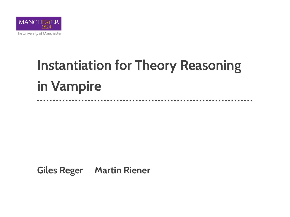

# **Instantiation for Theory Reasoning in Vampire**

**Giles Reger Martin Riener**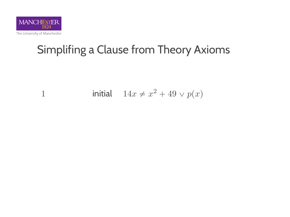

1 initial 
$$
14x \neq x^2 + 49 \vee p(x)
$$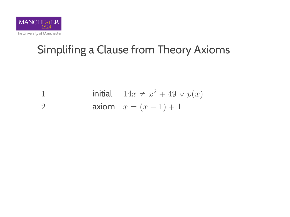

1 initial 
$$
14x \neq x^2 + 49 \vee p(x)
$$
  
2 axiom  $x = (x - 1) + 1$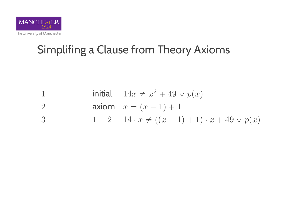

1 initial 
$$
14x \neq x^2 + 49 \vee p(x)
$$
  
2 axiom  $x = (x - 1) + 1$ 

3 
$$
1+2
$$
  $14 \cdot x \neq ((x-1)+1) \cdot x + 49 \vee p(x)$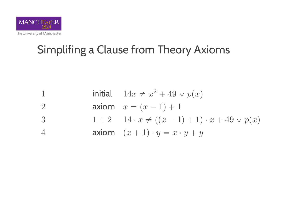

1 initial  $14x \neq x^2 + 49 \vee p(x)$ 2 axiom  $x = (x - 1) + 1$ 3 1 + 2  $1 + 2 \t14 \cdot x \neq ((x - 1) + 1) \cdot x + 49 \vee p(x)$ 4 axiom  $(x + 1) \cdot y = x \cdot y + y$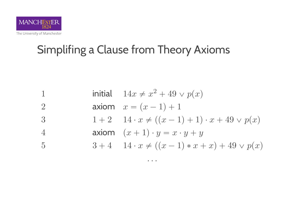

1 initial  $14x \neq x^2 + 49 \vee p(x)$ 2 axiom  $x = (x - 1) + 1$ 3  $1 + 2 \quad 14 \cdot x \neq ((x - 1) + 1) \cdot x + 49 \vee p(x)$ 4 axiom  $(x + 1) \cdot y = x \cdot y + y$ 5  $3 + 4 \quad 14 \cdot x \neq ((x - 1) * x + x) + 49 \vee p(x)$ 

. . .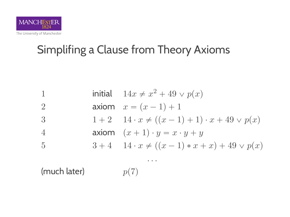

1 initial  $14x \neq x^2 + 49 \vee p(x)$ 2 axiom  $x = (x - 1) + 1$ 3  $1 + 2 \quad 14 \cdot x \neq ((x - 1) + 1) \cdot x + 49 \vee p(x)$ 4 axiom  $(x + 1) \cdot y = x \cdot y + y$ 5  $3 + 4 \quad 14 \cdot x \neq ((x - 1) * x + x) + 49 \vee p(x)$ . . . (much later)  $p(7)$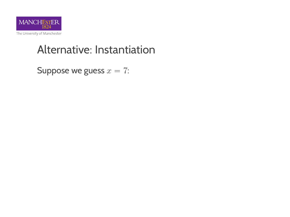

Suppose we guess  $x = 7$ :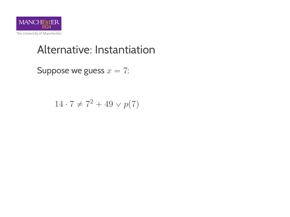

Suppose we guess  $x = 7$ :

$$
14 \cdot 7 \neq 7^2 + 49 \vee p(7)
$$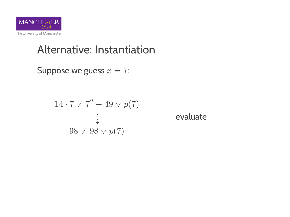

Suppose we guess  $x = 7$ :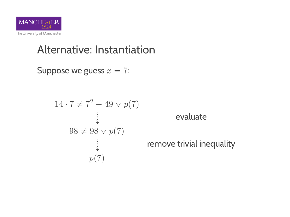

Suppose we guess  $x = 7$ :

$$
14 \cdot 7 \neq 7^2 + 49 \vee p(7)
$$
  

$$
\begin{cases} 98 \neq 98 \vee p(7) \\ \downarrow \\ p(7) \end{cases}
$$

evaluate

emove trivial inequality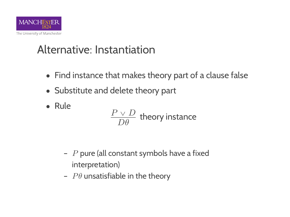

- Find instance that makes theory part of a clause false
- ' Substitute and delete theory part
- ' Rule

$$
\frac{P \vee D}{D\theta}
$$
 theory instance

- $-$  P pure (all constant symbols have a fixed interpretation)
- $P\theta$  unsatisfiable in the theory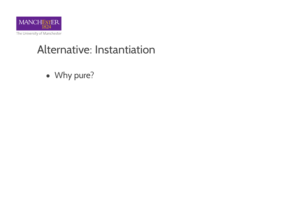

• Why pure?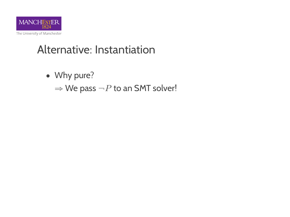

- Why pure?
	- $\Rightarrow$  We pass  $\neg P$  to an SMT solver!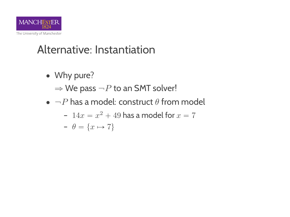

- Why pure?
	- $\Rightarrow$  We pass  $\neg P$  to an SMT solver!
- $\bullet$   $\neg P$  has a model: construct  $\theta$  from model

- 
$$
14x = x^2 + 49
$$
 has a model for  $x = 7$ 

$$
- \ \theta = \{x \mapsto 7\}
$$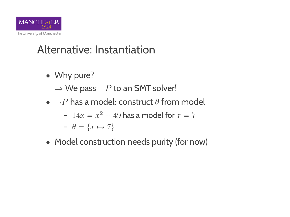

- Why pure?
	- $\Rightarrow$  We pass  $\neg P$  to an SMT solver!
- $\bullet$   $\neg P$  has a model: construct  $\theta$  from model

- 
$$
14x = x^2 + 49
$$
 has a model for  $x = 7$   
-  $\theta = \{x \mapsto 7\}$ 

• Model construction needs purity (for now)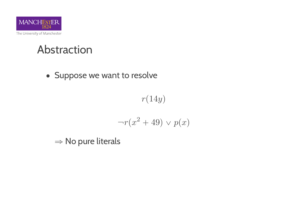

#### Abstraction

• Suppose we want to resolve

 $r(14y)$ 

$$
\neg r(x^2 + 49) \lor p(x)
$$

 $\Rightarrow$  No pure literals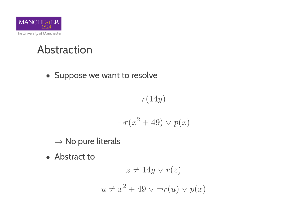

#### Abstraction

• Suppose we want to resolve

 $r(14y)$ 

$$
\neg r(x^2 + 49) \lor p(x)
$$

- $\Rightarrow$  No pure literals
- Abstract to

$$
z \neq 14y \lor r(z)
$$

$$
u \neq x^2 + 49 \lor \neg r(u) \lor p(x)
$$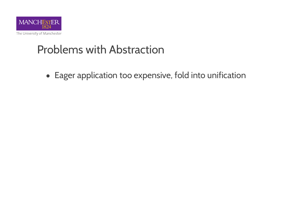

## **Problems with Abstraction**

• Eager application too expensive, fold into unification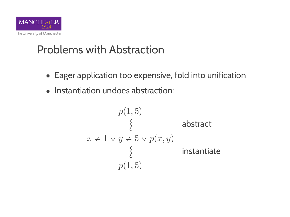

## **Problems with Abstraction**

- Eager application too expensive, fold into unification
- Instantiation undoes abstraction:

$$
p(1,5)
$$
\n
$$
\begin{cases}\n\downarrow \qquad \qquad \text{abstract} \\
x \neq 1 \lor y \neq 5 \lor p(x, y) \\
\downarrow \qquad \qquad \text{instantiate} \\
p(1,5)\n\end{cases}
$$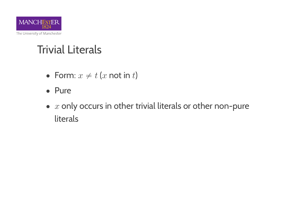

# Trivial Literals

- Form:  $x \neq t$  (x not in t)
- Pure
- $\bullet$  x only occurs in other trivial literals or other non-pure literals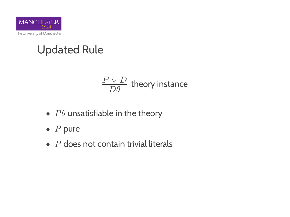

# Updated Rule

$$
\frac{P \vee D}{D\theta}
$$
 theory instance

- $P\theta$  unsatisfiable in the theory
- $\bullet$  P pure
- $\bullet$   $\overline{P}$  does not contain trivial literals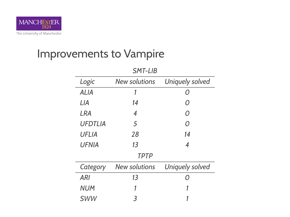

## Improvements to Vampire

| SMT-LIB        |                      |                 |
|----------------|----------------------|-----------------|
| Logic          | <b>New solutions</b> | Uniquely solved |
| ALIA           | 1                    | 0               |
| l IA           | 14                   | Ω               |
| LRA            | 4                    | Ω               |
| <b>UFDTLIA</b> | 5                    | Ω               |
| UFLIA          | 28                   | 14              |
| UFNIA          | 13                   | 4               |
| <b>TPTP</b>    |                      |                 |
| Category       | New solutions        | Uniquely solved |
| ARI            | 13                   | ∩               |
| <b>NUM</b>     | 1                    | 1               |
| <b>SWW</b>     | 3                    |                 |